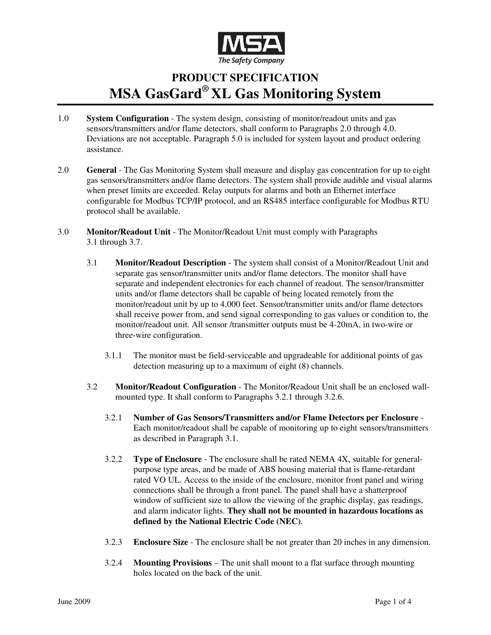

## **PRODUCT SPECIFICATION MSA GasGard® XL Gas Monitoring System**

- 1.0 **System Configuration** The system design, consisting of monitor/readout units and gas sensors/transmitters and/or flame detectors, shall conform to Paragraphs 2.0 through 4.0. Deviations are not acceptable. Paragraph 5.0 is included for system layout and product ordering assistance.
- 2.0 **General** The Gas Monitoring System shall measure and display gas concentration for up to eight gas sensors/transmitters and/or flame detectors. The system shall provide audible and visual alarms when preset limits are exceeded. Relay outputs for alarms and both an Ethernet interface configurable for Modbus TCP/IP protocol, and an RS485 interface configurable for Modbus RTU protocol shall be available.
- 3.0 **Monitor/Readout Unit** The Monitor/Readout Unit must comply with Paragraphs 3.1 through 3.7.
	- 3.1 **Monitor/Readout Description** The system shall consist of a Monitor/Readout Unit and separate gas sensor/transmitter units and/or flame detectors. The monitor shall have separate and independent electronics for each channel of readout. The sensor/transmitter units and/or flame detectors shall be capable of being located remotely from the monitor/readout unit by up to 4,000 feet. Sensor/transmitter units and/or flame detectors shall receive power from, and send signal corresponding to gas values or condition to, the monitor/readout unit. All sensor /transmitter outputs must be 4-20mA, in two-wire or three-wire configuration.
		- 3.1.1 The monitor must be field-serviceable and upgradeable for additional points of gas detection measuring up to a maximum of eight (8) channels.
	- 3.2 **Monitor/Readout Configuration** The Monitor/Readout Unit shall be an enclosed wallmounted type. It shall conform to Paragraphs 3.2.1 through 3.2.6.
		- 3.2.1 **Number of Gas Sensors/Transmitters and/or Flame Detectors per Enclosure** Each monitor/readout shall be capable of monitoring up to eight sensors/transmitters as described in Paragraph 3.1.
		- 3.2.2 **Type of Enclosure** The enclosure shall be rated NEMA 4X, suitable for generalpurpose type areas, and be made of ABS housing material that is flame-retardant rated VO UL. Access to the inside of the enclosure, monitor front panel and wiring connections shall be through a front panel. The panel shall have a shatterproof window of sufficient size to allow the viewing of the graphic display, gas readings, and alarm indicator lights. **They shall not be mounted in hazardous locations as defined by the National Electric Code (NEC)**.
		- 3.2.3 **Enclosure Size** The enclosure shall be not greater than 20 inches in any dimension.
		- 3.2.4 **Mounting Provisions** The unit shall mount to a flat surface through mounting holes located on the back of the unit.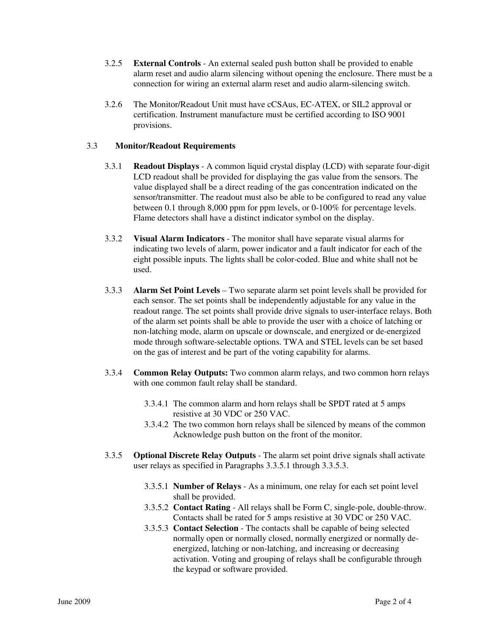- 3.2.5 **External Controls** An external sealed push button shall be provided to enable alarm reset and audio alarm silencing without opening the enclosure. There must be a connection for wiring an external alarm reset and audio alarm-silencing switch.
- 3.2.6 The Monitor/Readout Unit must have cCSAus, EC-ATEX, or SIL2 approval or certification. Instrument manufacture must be certified according to ISO 9001 provisions.

## 3.3 **Monitor/Readout Requirements**

- 3.3.1 **Readout Displays** A common liquid crystal display (LCD) with separate four-digit LCD readout shall be provided for displaying the gas value from the sensors. The value displayed shall be a direct reading of the gas concentration indicated on the sensor/transmitter. The readout must also be able to be configured to read any value between 0.1 through 8,000 ppm for ppm levels, or 0-100% for percentage levels. Flame detectors shall have a distinct indicator symbol on the display.
- 3.3.2 **Visual Alarm Indicators** The monitor shall have separate visual alarms for indicating two levels of alarm, power indicator and a fault indicator for each of the eight possible inputs. The lights shall be color-coded. Blue and white shall not be used.
- 3.3.3 **Alarm Set Point Levels** Two separate alarm set point levels shall be provided for each sensor. The set points shall be independently adjustable for any value in the readout range. The set points shall provide drive signals to user-interface relays. Both of the alarm set points shall be able to provide the user with a choice of latching or non-latching mode, alarm on upscale or downscale, and energized or de-energized mode through software-selectable options. TWA and STEL levels can be set based on the gas of interest and be part of the voting capability for alarms.
- 3.3.4 **Common Relay Outputs:** Two common alarm relays, and two common horn relays with one common fault relay shall be standard.
	- 3.3.4.1 The common alarm and horn relays shall be SPDT rated at 5 amps resistive at 30 VDC or 250 VAC.
	- 3.3.4.2 The two common horn relays shall be silenced by means of the common Acknowledge push button on the front of the monitor.
- 3.3.5 **Optional Discrete Relay Outputs** The alarm set point drive signals shall activate user relays as specified in Paragraphs 3.3.5.1 through 3.3.5.3.
	- 3.3.5.1 **Number of Relays** As a minimum, one relay for each set point level shall be provided.
	- 3.3.5.2 **Contact Rating** All relays shall be Form C, single-pole, double-throw. Contacts shall be rated for 5 amps resistive at 30 VDC or 250 VAC.
	- 3.3.5.3 **Contact Selection** The contacts shall be capable of being selected normally open or normally closed, normally energized or normally deenergized, latching or non-latching, and increasing or decreasing activation. Voting and grouping of relays shall be configurable through the keypad or software provided.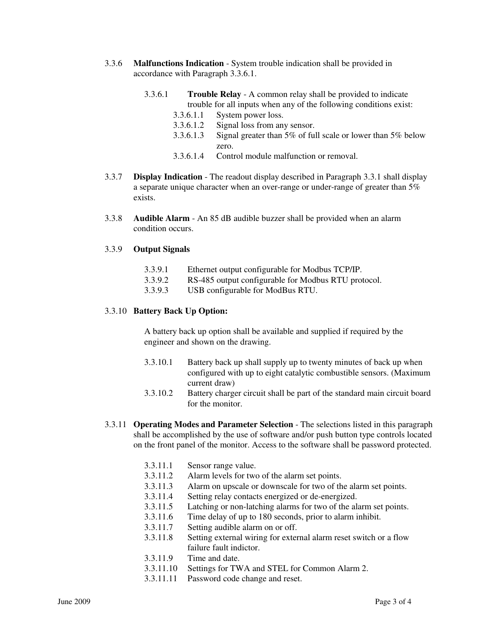- 3.3.6 **Malfunctions Indication** System trouble indication shall be provided in accordance with Paragraph 3.3.6.1.
	- 3.3.6.1 **Trouble Relay** A common relay shall be provided to indicate trouble for all inputs when any of the following conditions exist:
		- 3.3.6.1.1 System power loss.
		- 3.3.6.1.2 Signal loss from any sensor.
		- 3.3.6.1.3 Signal greater than 5% of full scale or lower than 5% below zero.
		- 3.3.6.1.4 Control module malfunction or removal.
- 3.3.7 **Display Indication** The readout display described in Paragraph 3.3.1 shall display a separate unique character when an over-range or under-range of greater than 5% exists.
- 3.3.8 **Audible Alarm** An 85 dB audible buzzer shall be provided when an alarm condition occurs.

## 3.3.9 **Output Signals**

- 3.3.9.1 Ethernet output configurable for Modbus TCP/IP.
- 3.3.9.2 RS-485 output configurable for Modbus RTU protocol.
- 3.3.9.3 USB configurable for ModBus RTU.

## 3.3.10 **Battery Back Up Option:**

A battery back up option shall be available and supplied if required by the engineer and shown on the drawing.

- 3.3.10.1 Battery back up shall supply up to twenty minutes of back up when configured with up to eight catalytic combustible sensors. (Maximum current draw)
- 3.3.10.2 Battery charger circuit shall be part of the standard main circuit board for the monitor.
- 3.3.11 **Operating Modes and Parameter Selection** The selections listed in this paragraph shall be accomplished by the use of software and/or push button type controls located on the front panel of the monitor. Access to the software shall be password protected.
	- 3.3.11.1 Sensor range value.
	- 3.3.11.2 Alarm levels for two of the alarm set points.
	- 3.3.11.3 Alarm on upscale or downscale for two of the alarm set points.
	- 3.3.11.4 Setting relay contacts energized or de-energized.
	- 3.3.11.5 Latching or non-latching alarms for two of the alarm set points.
	- 3.3.11.6 Time delay of up to 180 seconds, prior to alarm inhibit.
	- 3.3.11.7 Setting audible alarm on or off.
	- 3.3.11.8 Setting external wiring for external alarm reset switch or a flow failure fault indictor.
	- 3.3.11.9 Time and date.
	- 3.3.11.10 Settings for TWA and STEL for Common Alarm 2.
	- 3.3.11.11 Password code change and reset.